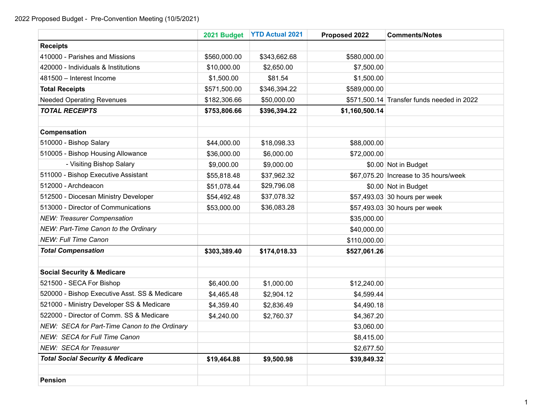|                                               | 2021 Budget  | <b>YTD Actual 2021</b> | Proposed 2022  | <b>Comments/Notes</b>                      |
|-----------------------------------------------|--------------|------------------------|----------------|--------------------------------------------|
| <b>Receipts</b>                               |              |                        |                |                                            |
| 410000 - Parishes and Missions                | \$560,000.00 | \$343,662.68           | \$580,000.00   |                                            |
| 420000 - Individuals & Institutions           | \$10,000.00  | \$2,650.00             | \$7,500.00     |                                            |
| 481500 - Interest Income                      | \$1,500.00   | \$81.54                | \$1,500.00     |                                            |
| <b>Total Receipts</b>                         | \$571,500.00 | \$346,394.22           | \$589,000.00   |                                            |
| <b>Needed Operating Revenues</b>              | \$182,306.66 | \$50,000.00            |                | \$571,500.14 Transfer funds needed in 2022 |
| <b>TOTAL RECEIPTS</b>                         | \$753,806.66 | \$396,394.22           | \$1,160,500.14 |                                            |
|                                               |              |                        |                |                                            |
| Compensation                                  |              |                        |                |                                            |
| 510000 - Bishop Salary                        | \$44,000.00  | \$18,098.33            | \$88,000.00    |                                            |
| 510005 - Bishop Housing Allowance             | \$36,000.00  | \$6,000.00             | \$72,000.00    |                                            |
| - Visiting Bishop Salary                      | \$9,000.00   | \$9,000.00             |                | \$0.00 Not in Budget                       |
| 511000 - Bishop Executive Assistant           | \$55,818.48  | \$37,962.32            |                | \$67,075.20 Increase to 35 hours/week      |
| 512000 - Archdeacon                           | \$51,078.44  | \$29,796.08            |                | \$0.00 Not in Budget                       |
| 512500 - Diocesan Ministry Developer          | \$54,492.48  | \$37,078.32            |                | \$57,493.03 30 hours per week              |
| 513000 - Director of Communications           | \$53,000.00  | \$36,083.28            |                | \$57,493.03 30 hours per week              |
| <b>NEW: Treasurer Compensation</b>            |              |                        | \$35,000.00    |                                            |
| NEW: Part-Time Canon to the Ordinary          |              |                        | \$40,000.00    |                                            |
| <b>NEW: Full Time Canon</b>                   |              |                        | \$110,000.00   |                                            |
| <b>Total Compensation</b>                     | \$303,389.40 | \$174,018.33           | \$527,061.26   |                                            |
|                                               |              |                        |                |                                            |
| <b>Social Security &amp; Medicare</b>         |              |                        |                |                                            |
| 521500 - SECA For Bishop                      | \$6,400.00   | \$1,000.00             | \$12,240.00    |                                            |
| 520000 - Bishop Executive Asst. SS & Medicare | \$4,465.48   | \$2,904.12             | \$4,599.44     |                                            |
| 521000 - Ministry Developer SS & Medicare     | \$4,359.40   | \$2,836.49             | \$4,490.18     |                                            |
| 522000 - Director of Comm. SS & Medicare      | \$4,240.00   | \$2,760.37             | \$4,367.20     |                                            |
| NEW: SECA for Part-Time Canon to the Ordinary |              |                        | \$3,060.00     |                                            |
| NEW: SECA for Full Time Canon                 |              |                        | \$8,415.00     |                                            |
| <b>NEW: SECA for Treasurer</b>                |              |                        | \$2,677.50     |                                            |
| <b>Total Social Security &amp; Medicare</b>   | \$19,464.88  | \$9,500.98             | \$39,849.32    |                                            |
|                                               |              |                        |                |                                            |
| <b>Pension</b>                                |              |                        |                |                                            |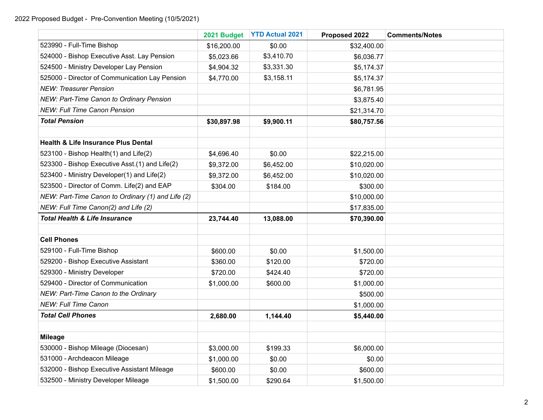|                                                   | 2021 Budget | <b>YTD Actual 2021</b> | Proposed 2022 | <b>Comments/Notes</b> |
|---------------------------------------------------|-------------|------------------------|---------------|-----------------------|
| 523990 - Full-Time Bishop                         | \$16,200.00 | \$0.00                 | \$32,400.00   |                       |
| 524000 - Bishop Executive Asst. Lay Pension       | \$5,023.66  | \$3,410.70             | \$6,036.77    |                       |
| 524500 - Ministry Developer Lay Pension           | \$4,904.32  | \$3,331.30             | \$5,174.37    |                       |
| 525000 - Director of Communication Lay Pension    | \$4,770.00  | \$3,158.11             | \$5,174.37    |                       |
| <b>NEW: Treasurer Pension</b>                     |             |                        | \$6,781.95    |                       |
| NEW: Part-Time Canon to Ordinary Pension          |             |                        | \$3,875.40    |                       |
| <b>NEW: Full Time Canon Pension</b>               |             |                        | \$21,314.70   |                       |
| <b>Total Pension</b>                              | \$30,897.98 | \$9,900.11             | \$80,757.56   |                       |
|                                                   |             |                        |               |                       |
| <b>Health &amp; Life Insurance Plus Dental</b>    |             |                        |               |                       |
| 523100 - Bishop Health(1) and Life(2)             | \$4,696.40  | \$0.00                 | \$22,215.00   |                       |
| 523300 - Bishop Executive Asst.(1) and Life(2)    | \$9,372.00  | \$6,452.00             | \$10,020.00   |                       |
| 523400 - Ministry Developer(1) and Life(2)        | \$9,372.00  | \$6,452.00             | \$10,020.00   |                       |
| 523500 - Director of Comm. Life(2) and EAP        | \$304.00    | \$184.00               | \$300.00      |                       |
| NEW: Part-Time Canon to Ordinary (1) and Life (2) |             |                        | \$10,000.00   |                       |
| NEW: Full Time Canon(2) and Life (2)              |             |                        | \$17,835.00   |                       |
| <b>Total Health &amp; Life Insurance</b>          | 23,744.40   | 13,088.00              | \$70,390.00   |                       |
|                                                   |             |                        |               |                       |
| <b>Cell Phones</b>                                |             |                        |               |                       |
| 529100 - Full-Time Bishop                         | \$600.00    | \$0.00                 | \$1,500.00    |                       |
| 529200 - Bishop Executive Assistant               | \$360.00    | \$120.00               | \$720.00      |                       |
| 529300 - Ministry Developer                       | \$720.00    | \$424.40               | \$720.00      |                       |
| 529400 - Director of Communication                | \$1,000.00  | \$600.00               | \$1,000.00    |                       |
| NEW: Part-Time Canon to the Ordinary              |             |                        | \$500.00      |                       |
| <b>NEW: Full Time Canon</b>                       |             |                        | \$1,000.00    |                       |
| <b>Total Cell Phones</b>                          | 2,680.00    | 1,144.40               | \$5,440.00    |                       |
|                                                   |             |                        |               |                       |
| <b>Mileage</b>                                    |             |                        |               |                       |
| 530000 - Bishop Mileage (Diocesan)                | \$3,000.00  | \$199.33               | \$6,000.00    |                       |
| 531000 - Archdeacon Mileage                       | \$1,000.00  | \$0.00                 | \$0.00        |                       |
| 532000 - Bishop Executive Assistant Mileage       | \$600.00    | \$0.00                 | \$600.00      |                       |
| 532500 - Ministry Developer Mileage               | \$1,500.00  | \$290.64               | \$1,500.00    |                       |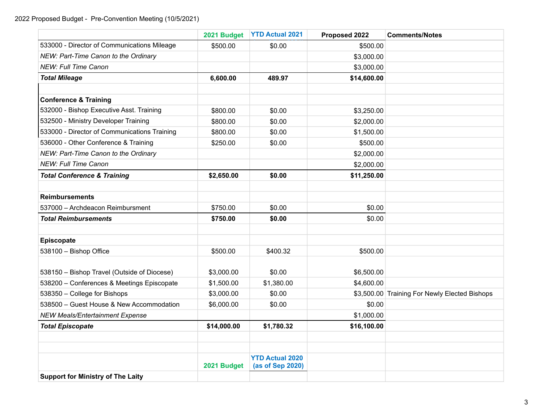|                                              | 2021 Budget | <b>YTD Actual 2021</b>                     | Proposed 2022 | <b>Comments/Notes</b>                         |
|----------------------------------------------|-------------|--------------------------------------------|---------------|-----------------------------------------------|
| 533000 - Director of Communications Mileage  | \$500.00    | \$0.00                                     | \$500.00      |                                               |
| NEW: Part-Time Canon to the Ordinary         |             |                                            | \$3,000.00    |                                               |
| <b>NEW: Full Time Canon</b>                  |             |                                            | \$3,000.00    |                                               |
| <b>Total Mileage</b>                         | 6,600.00    | 489.97                                     | \$14,600.00   |                                               |
|                                              |             |                                            |               |                                               |
| <b>Conference &amp; Training</b>             |             |                                            |               |                                               |
| 532000 - Bishop Executive Asst. Training     | \$800.00    | \$0.00                                     | \$3,250.00    |                                               |
| 532500 - Ministry Developer Training         | \$800.00    | \$0.00                                     | \$2,000.00    |                                               |
| 533000 - Director of Communications Training | \$800.00    | \$0.00                                     | \$1,500.00    |                                               |
| 536000 - Other Conference & Training         | \$250.00    | \$0.00                                     | \$500.00      |                                               |
| NEW: Part-Time Canon to the Ordinary         |             |                                            | \$2,000.00    |                                               |
| <b>NEW: Full Time Canon</b>                  |             |                                            | \$2,000.00    |                                               |
| <b>Total Conference &amp; Training</b>       | \$2,650.00  | \$0.00                                     | \$11,250.00   |                                               |
|                                              |             |                                            |               |                                               |
| <b>Reimbursements</b>                        |             |                                            |               |                                               |
| 537000 - Archdeacon Reimbursment             | \$750.00    | \$0.00                                     | \$0.00        |                                               |
| <b>Total Reimbursements</b>                  | \$750.00    | \$0.00                                     | \$0.00        |                                               |
|                                              |             |                                            |               |                                               |
| Episcopate                                   |             |                                            |               |                                               |
| 538100 - Bishop Office                       | \$500.00    | \$400.32                                   | \$500.00      |                                               |
|                                              |             |                                            |               |                                               |
| 538150 - Bishop Travel (Outside of Diocese)  | \$3,000.00  | \$0.00                                     | \$6,500.00    |                                               |
| 538200 - Conferences & Meetings Episcopate   | \$1,500.00  | \$1,380.00                                 | \$4,600.00    |                                               |
| 538350 - College for Bishops                 | \$3,000.00  | \$0.00                                     |               | \$3,500.00 Training For Newly Elected Bishops |
| 538500 - Guest House & New Accommodation     | \$6,000.00  | \$0.00                                     | \$0.00        |                                               |
| <b>NEW Meals/Entertainment Expense</b>       |             |                                            | \$1,000.00    |                                               |
| <b>Total Episcopate</b>                      | \$14,000.00 | \$1,780.32                                 | \$16,100.00   |                                               |
|                                              |             |                                            |               |                                               |
|                                              |             |                                            |               |                                               |
|                                              | 2021 Budget | <b>YTD Actual 2020</b><br>(as of Sep 2020) |               |                                               |
| <b>Support for Ministry of The Laity</b>     |             |                                            |               |                                               |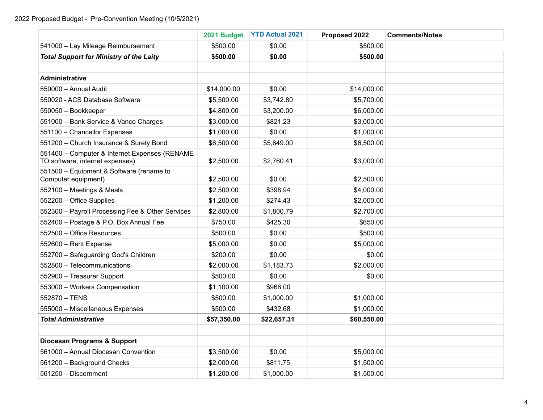|                                                                                  | 2021 Budget | <b>YTD Actual 2021</b> | Proposed 2022 | <b>Comments/Notes</b> |
|----------------------------------------------------------------------------------|-------------|------------------------|---------------|-----------------------|
| 541000 - Lay Mileage Reimbursement                                               | \$500.00    | \$0.00                 | \$500.00      |                       |
| <b>Total Support for Ministry of the Laity</b>                                   | \$500.00    | \$0.00                 | \$500.00      |                       |
|                                                                                  |             |                        |               |                       |
| <b>Administrative</b>                                                            |             |                        |               |                       |
| 550000 - Annual Audit                                                            | \$14,000.00 | \$0.00                 | \$14,000.00   |                       |
| 550020 - ACS Database Software                                                   | \$5,500.00  | \$3,742.80             | \$5,700.00    |                       |
| 550050 - Bookkeeper                                                              | \$4,800.00  | \$3,200.00             | \$6,000.00    |                       |
| 551000 - Bank Service & Vanco Charges                                            | \$3,000.00  | \$821.23               | \$3,000.00    |                       |
| 551100 - Chancellor Expenses                                                     | \$1,000.00  | \$0.00                 | \$1,000.00    |                       |
| 551200 - Church Insurance & Surety Bond                                          | \$6,500.00  | \$5,649.00             | \$6,500.00    |                       |
| 551400 - Computer & Internet Expenses (RENAME<br>TO software, internet expenses) | \$2,500.00  | \$2,760.41             | \$3,000.00    |                       |
| 551500 - Equipment & Software (rename to<br>Computer equipment)                  | \$2,500.00  | \$0.00                 | \$2,500.00    |                       |
| 552100 - Meetings & Meals                                                        | \$2,500.00  | \$398.94               | \$4,000.00    |                       |
| 552200 - Office Supplies                                                         | \$1,200.00  | \$274.43               | \$2,000.00    |                       |
| 552300 - Payroll Processing Fee & Other Services                                 | \$2,800.00  | \$1,800.79             | \$2,700.00    |                       |
| 552400 - Postage & P.O. Box Annual Fee                                           | \$750.00    | \$425.30               | \$650.00      |                       |
| 552500 - Office Resources                                                        | \$500.00    | \$0.00                 | \$500.00      |                       |
| 552600 - Rent Expense                                                            | \$5,000.00  | \$0.00                 | \$5,000.00    |                       |
| 552700 - Safeguarding God's Children                                             | \$200.00    | \$0.00                 | \$0.00        |                       |
| 552800 - Telecommunications                                                      | \$2,000.00  | \$1,183.73             | \$2,000.00    |                       |
| 552900 - Treasurer Support                                                       | \$500.00    | \$0.00                 | \$0.00        |                       |
| 553000 - Workers Compensation                                                    | \$1,100.00  | \$968.00               |               |                       |
| 552870 - TENS                                                                    | \$500.00    | \$1,000.00             | \$1,000.00    |                       |
| 555000 - Miscellaneous Expenses                                                  | \$500.00    | \$432.68               | \$1,000.00    |                       |
| <b>Total Administrative</b>                                                      | \$57,350.00 | \$22,657.31            | \$60,550.00   |                       |
|                                                                                  |             |                        |               |                       |
| <b>Diocesan Programs &amp; Support</b>                                           |             |                        |               |                       |
| 561000 - Annual Diocesan Convention                                              | \$3,500.00  | \$0.00                 | \$5,000.00    |                       |
| 561200 - Background Checks                                                       | \$2,000.00  | \$811.75               | \$1,500.00    |                       |
| 561250 - Discernment                                                             | \$1,200.00  | \$1,000.00             | \$1,500.00    |                       |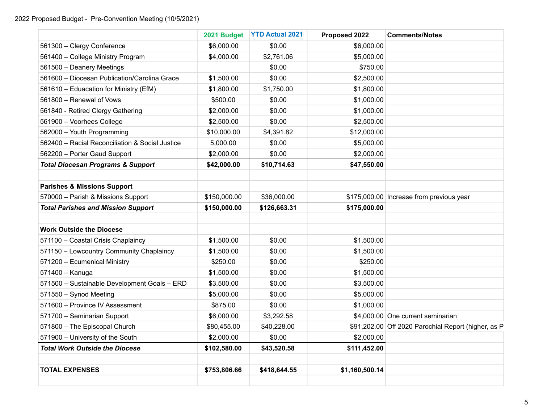|                                                 | 2021 Budget  | <b>YTD Actual 2021</b> | Proposed 2022 | <b>Comments/Notes</b>                               |
|-------------------------------------------------|--------------|------------------------|---------------|-----------------------------------------------------|
| 561300 - Clergy Conference                      | \$6,000.00   | \$0.00                 | \$6,000.00    |                                                     |
| 561400 - College Ministry Program               | \$4,000.00   | \$2,761.06             | \$5,000.00    |                                                     |
| 561500 - Deanery Meetings                       |              | \$0.00                 | \$750.00      |                                                     |
| 561600 - Diocesan Publication/Carolina Grace    | \$1,500.00   | \$0.00                 | \$2,500.00    |                                                     |
| 561610 - Eduacation for Ministry (EfM)          | \$1,800.00   | \$1,750.00             | \$1,800.00    |                                                     |
| 561800 - Renewal of Vows                        | \$500.00     | \$0.00                 | \$1,000.00    |                                                     |
| 561840 - Retired Clergy Gathering               | \$2,000.00   | \$0.00                 | \$1,000.00    |                                                     |
| 561900 - Voorhees College                       | \$2,500.00   | \$0.00                 | \$2,500.00    |                                                     |
| 562000 - Youth Programming                      | \$10,000.00  | \$4,391.82             | \$12,000.00   |                                                     |
| 562400 - Racial Reconciliation & Social Justice | 5,000.00     | \$0.00                 | \$5,000.00    |                                                     |
| 562200 - Porter Gaud Support                    | \$2,000.00   | \$0.00                 | \$2,000.00    |                                                     |
| <b>Total Diocesan Programs &amp; Support</b>    | \$42,000.00  | \$10,714.63            | \$47,550.00   |                                                     |
| <b>Parishes &amp; Missions Support</b>          |              |                        |               |                                                     |
| 570000 - Parish & Missions Support              | \$150,000.00 | \$36,000.00            |               | \$175,000.00 Increase from previous year            |
| <b>Total Parishes and Mission Support</b>       | \$150,000.00 | \$126,663.31           | \$175,000.00  |                                                     |
| <b>Work Outside the Diocese</b>                 |              |                        |               |                                                     |
| 571100 - Coastal Crisis Chaplaincy              | \$1,500.00   | \$0.00                 | \$1,500.00    |                                                     |
| 571150 - Lowcountry Community Chaplaincy        | \$1,500.00   | \$0.00                 | \$1,500.00    |                                                     |
| 571200 - Ecumenical Ministry                    | \$250.00     | \$0.00                 | \$250.00      |                                                     |
| 571400 - Kanuga                                 | \$1,500.00   | \$0.00                 | \$1,500.00    |                                                     |
| 571500 - Sustainable Development Goals - ERD    | \$3,500.00   | \$0.00                 | \$3,500.00    |                                                     |
| 571550 - Synod Meeting                          | \$5,000.00   | \$0.00                 | \$5,000.00    |                                                     |
| 571600 - Province IV Assessment                 | \$875.00     | \$0.00                 | \$1,000.00    |                                                     |
| 571700 - Seminarian Support                     | \$6,000.00   | \$3,292.58             |               | \$4,000.00 One current seminarian                   |
| 571800 - The Episcopal Church                   | \$80,455.00  | \$40,228.00            |               | \$91,202.00 Off 2020 Parochial Report (higher, as P |
| 571900 - University of the South                | \$2,000.00   | \$0.00                 | \$2,000.00    |                                                     |
| <b>Total Work Outside the Diocese</b>           | \$102,580.00 | \$43,520.58            | \$111,452.00  |                                                     |
|                                                 |              |                        |               |                                                     |
|                                                 |              |                        |               |                                                     |